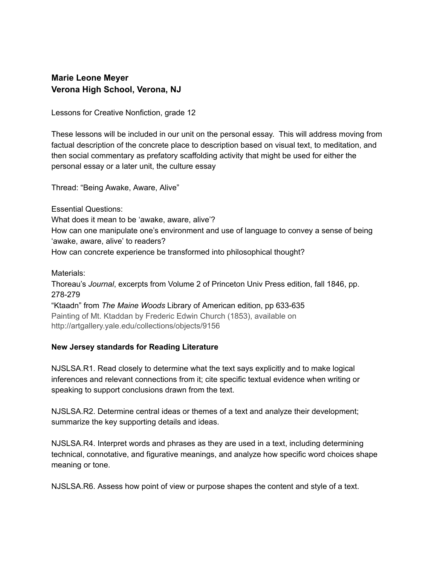# **Marie Leone Meyer Verona High School, Verona, NJ**

Lessons for Creative Nonfiction, grade 12

These lessons will be included in our unit on the personal essay. This will address moving from factual description of the concrete place to description based on visual text, to meditation, and then social commentary as prefatory scaffolding activity that might be used for either the personal essay or a later unit, the culture essay

Thread: "Being Awake, Aware, Alive"

Essential Questions:

What does it mean to be 'awake, aware, alive'? How can one manipulate one's environment and use of language to convey a sense of being 'awake, aware, alive' to readers? How can concrete experience be transformed into philosophical thought?

Materials:

Thoreau's *Journal*, excerpts from Volume 2 of Princeton Univ Press edition, fall 1846, pp. 278-279

"Ktaadn" from *The Maine Woods* Library of American edition, pp 633-635 Painting of Mt. Ktaddan by Frederic Edwin Church (1853), available on http://artgallery.yale.edu/collections/objects/9156

# **New Jersey standards for Reading Literature**

NJSLSA.R1. Read closely to determine what the text says explicitly and to make logical inferences and relevant connections from it; cite specific textual evidence when writing or speaking to support conclusions drawn from the text.

NJSLSA.R2. Determine central ideas or themes of a text and analyze their development; summarize the key supporting details and ideas.

NJSLSA.R4. Interpret words and phrases as they are used in a text, including determining technical, connotative, and figurative meanings, and analyze how specific word choices shape meaning or tone.

NJSLSA.R6. Assess how point of view or purpose shapes the content and style of a text.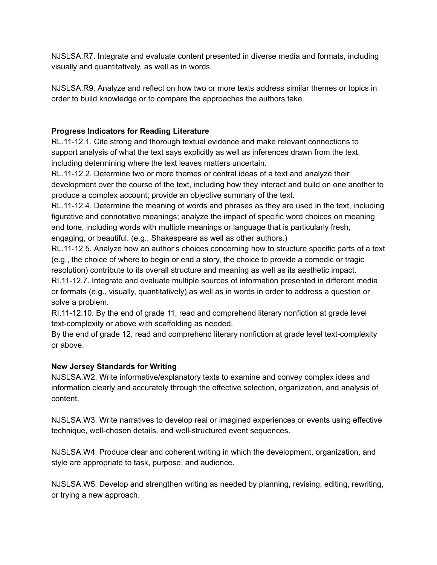NJSLSA.R7. Integrate and evaluate content presented in diverse media and formats, including visually and quantitatively, as well as in words.

NJSLSA.R9. Analyze and reflect on how two or more texts address similar themes or topics in order to build knowledge or to compare the approaches the authors take.

# **Progress Indicators for Reading Literature**

RL.11-12.1. Cite strong and thorough textual evidence and make relevant connections to support analysis of what the text says explicitly as well as inferences drawn from the text, including determining where the text leaves matters uncertain.

RL.11-12.2. Determine two or more themes or central ideas of a text and analyze their development over the course of the text, including how they interact and build on one another to produce a complex account; provide an objective summary of the text.

RL.11-12.4. Determine the meaning of words and phrases as they are used in the text, including figurative and connotative meanings; analyze the impact of specific word choices on meaning and tone, including words with multiple meanings or language that is particularly fresh, engaging, or beautiful. (e.g., Shakespeare as well as other authors.)

RL.11-12.5. Analyze how an author's choices concerning how to structure specific parts of a text (e.g., the choice of where to begin or end a story, the choice to provide a comedic or tragic resolution) contribute to its overall structure and meaning as well as its aesthetic impact. RI.1112.7. Integrate and evaluate multiple sources of information presented in different media

or formats (e.g., visually, quantitatively) as well as in words in order to address a question or solve a problem.

RI.1112.10. By the end of grade 11, read and comprehend literary nonfiction at grade level text-complexity or above with scaffolding as needed.

By the end of grade 12, read and comprehend literary nonfiction at grade level text-complexity or above.

# **New Jersey Standards for Writing**

NJSLSA.W2. Write informative/explanatory texts to examine and convey complex ideas and information clearly and accurately through the effective selection, organization, and analysis of content.

NJSLSA.W3. Write narratives to develop real or imagined experiences or events using effective technique, well-chosen details, and well-structured event sequences.

NJSLSA.W4. Produce clear and coherent writing in which the development, organization, and style are appropriate to task, purpose, and audience.

NJSLSA.W5. Develop and strengthen writing as needed by planning, revising, editing, rewriting, or trying a new approach.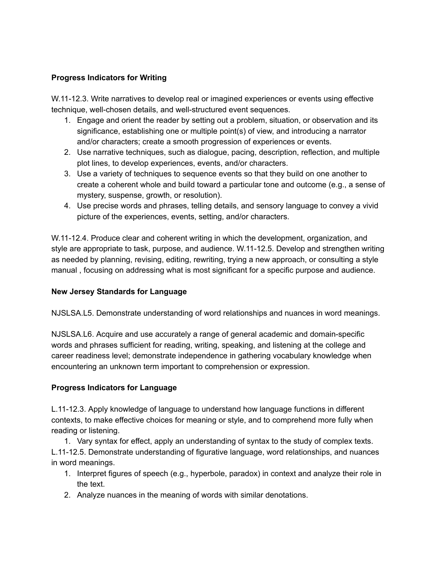### **Progress Indicators for Writing**

W.11-12.3. Write narratives to develop real or imagined experiences or events using effective technique, well-chosen details, and well-structured event sequences.

- 1. Engage and orient the reader by setting out a problem, situation, or observation and its significance, establishing one or multiple point(s) of view, and introducing a narrator and/or characters; create a smooth progression of experiences or events.
- 2. Use narrative techniques, such as dialogue, pacing, description, reflection, and multiple plot lines, to develop experiences, events, and/or characters.
- 3. Use a variety of techniques to sequence events so that they build on one another to create a coherent whole and build toward a particular tone and outcome (e.g., a sense of mystery, suspense, growth, or resolution).
- 4. Use precise words and phrases, telling details, and sensory language to convey a vivid picture of the experiences, events, setting, and/or characters.

W.11-12.4. Produce clear and coherent writing in which the development, organization, and style are appropriate to task, purpose, and audience. W.11-12.5. Develop and strengthen writing as needed by planning, revising, editing, rewriting, trying a new approach, or consulting a style manual , focusing on addressing what is most significant for a specific purpose and audience.

# **New Jersey Standards for Language**

NJSLSA.L5. Demonstrate understanding of word relationships and nuances in word meanings.

NJSLSA.L6. Acquire and use accurately a range of general academic and domain-specific words and phrases sufficient for reading, writing, speaking, and listening at the college and career readiness level; demonstrate independence in gathering vocabulary knowledge when encountering an unknown term important to comprehension or expression.

#### **Progress Indicators for Language**

L.1112.3. Apply knowledge of language to understand how language functions in different contexts, to make effective choices for meaning or style, and to comprehend more fully when reading or listening.

1. Vary syntax for effect, apply an understanding of syntax to the study of complex texts. L.1112.5. Demonstrate understanding of figurative language, word relationships, and nuances in word meanings.

- 1. Interpret figures of speech (e.g., hyperbole, paradox) in context and analyze their role in the text.
- 2. Analyze nuances in the meaning of words with similar denotations.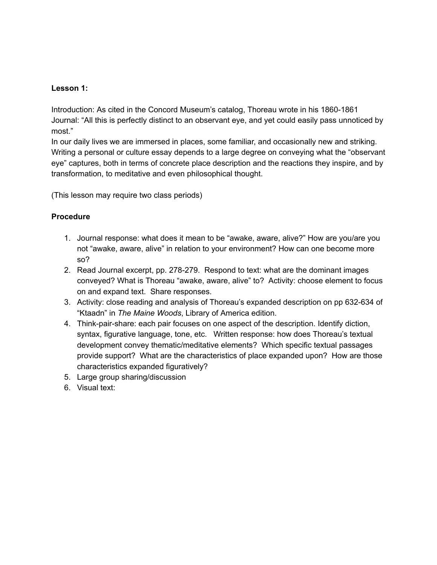# **Lesson 1:**

Introduction: As cited in the Concord Museum's catalog, Thoreau wrote in his 1860-1861 Journal: "All this is perfectly distinct to an observant eye, and yet could easily pass unnoticed by most."

In our daily lives we are immersed in places, some familiar, and occasionally new and striking. Writing a personal or culture essay depends to a large degree on conveying what the "observant eye" captures, both in terms of concrete place description and the reactions they inspire, and by transformation, to meditative and even philosophical thought.

(This lesson may require two class periods)

# **Procedure**

- 1. Journal response: what does it mean to be "awake, aware, alive?" How are you/are you not "awake, aware, alive" in relation to your environment? How can one become more so?
- 2. Read Journal excerpt, pp. 278-279. Respond to text: what are the dominant images conveyed? What is Thoreau "awake, aware, alive" to? Activity: choose element to focus on and expand text. Share responses.
- 3. Activity: close reading and analysis of Thoreau's expanded description on pp 632-634 of "Ktaadn" in *The Maine Woods*, Library of America edition.
- 4. Think-pair-share: each pair focuses on one aspect of the description. Identify diction, syntax, figurative language, tone, etc. Written response: how does Thoreau's textual development convey thematic/meditative elements? Which specific textual passages provide support? What are the characteristics of place expanded upon? How are those characteristics expanded figuratively?
- 5. Large group sharing/discussion
- 6. Visual text: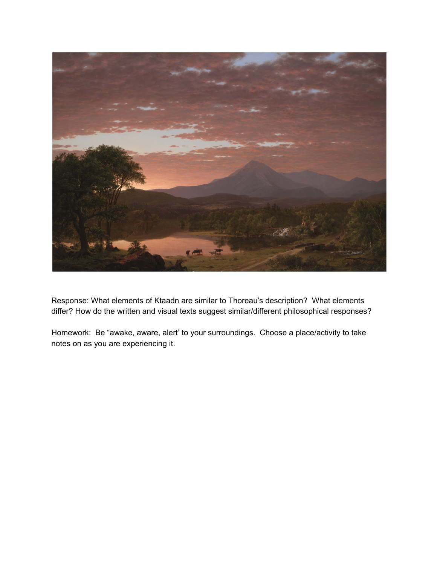

Response: What elements of Ktaadn are similar to Thoreau's description? What elements differ? How do the written and visual texts suggest similar/different philosophical responses?

Homework: Be "awake, aware, alert' to your surroundings. Choose a place/activity to take notes on as you are experiencing it.